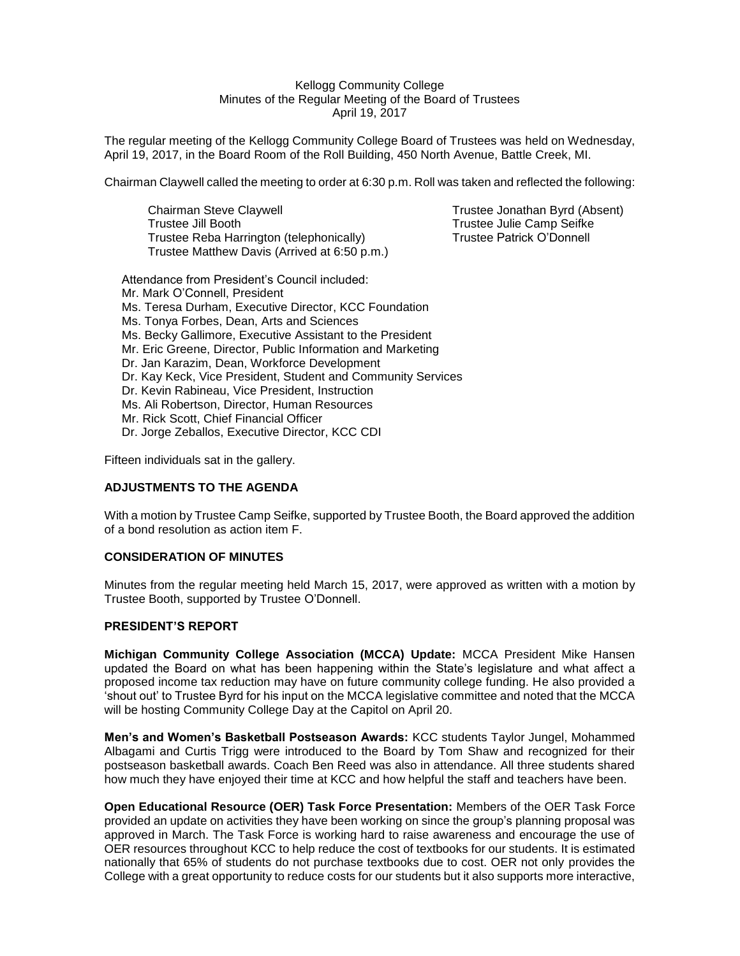#### Kellogg Community College Minutes of the Regular Meeting of the Board of Trustees April 19, 2017

The regular meeting of the Kellogg Community College Board of Trustees was held on Wednesday, April 19, 2017, in the Board Room of the Roll Building, 450 North Avenue, Battle Creek, MI.

Chairman Claywell called the meeting to order at 6:30 p.m. Roll was taken and reflected the following:

Chairman Steve Claywell Trustee Jonathan Byrd (Absent) Trustee Jill Booth Trustee Julie Camp Seifke Trustee Reba Harrington (telephonically) Trustee Patrick O'Donnell Trustee Matthew Davis (Arrived at 6:50 p.m.)

Attendance from President's Council included: Mr. Mark O'Connell, President Ms. Teresa Durham, Executive Director, KCC Foundation Ms. Tonya Forbes, Dean, Arts and Sciences Ms. Becky Gallimore, Executive Assistant to the President Mr. Eric Greene, Director, Public Information and Marketing Dr. Jan Karazim, Dean, Workforce Development Dr. Kay Keck, Vice President, Student and Community Services Dr. Kevin Rabineau, Vice President, Instruction Ms. Ali Robertson, Director, Human Resources Mr. Rick Scott, Chief Financial Officer Dr. Jorge Zeballos, Executive Director, KCC CDI

Fifteen individuals sat in the gallery.

## **ADJUSTMENTS TO THE AGENDA**

With a motion by Trustee Camp Seifke, supported by Trustee Booth, the Board approved the addition of a bond resolution as action item F.

# **CONSIDERATION OF MINUTES**

Minutes from the regular meeting held March 15, 2017, were approved as written with a motion by Trustee Booth, supported by Trustee O'Donnell.

## **PRESIDENT'S REPORT**

**Michigan Community College Association (MCCA) Update:** MCCA President Mike Hansen updated the Board on what has been happening within the State's legislature and what affect a proposed income tax reduction may have on future community college funding. He also provided a 'shout out' to Trustee Byrd for his input on the MCCA legislative committee and noted that the MCCA will be hosting Community College Day at the Capitol on April 20.

**Men's and Women's Basketball Postseason Awards:** KCC students Taylor Jungel, Mohammed Albagami and Curtis Trigg were introduced to the Board by Tom Shaw and recognized for their postseason basketball awards. Coach Ben Reed was also in attendance. All three students shared how much they have enjoyed their time at KCC and how helpful the staff and teachers have been.

**Open Educational Resource (OER) Task Force Presentation:** Members of the OER Task Force provided an update on activities they have been working on since the group's planning proposal was approved in March. The Task Force is working hard to raise awareness and encourage the use of OER resources throughout KCC to help reduce the cost of textbooks for our students. It is estimated nationally that 65% of students do not purchase textbooks due to cost. OER not only provides the College with a great opportunity to reduce costs for our students but it also supports more interactive,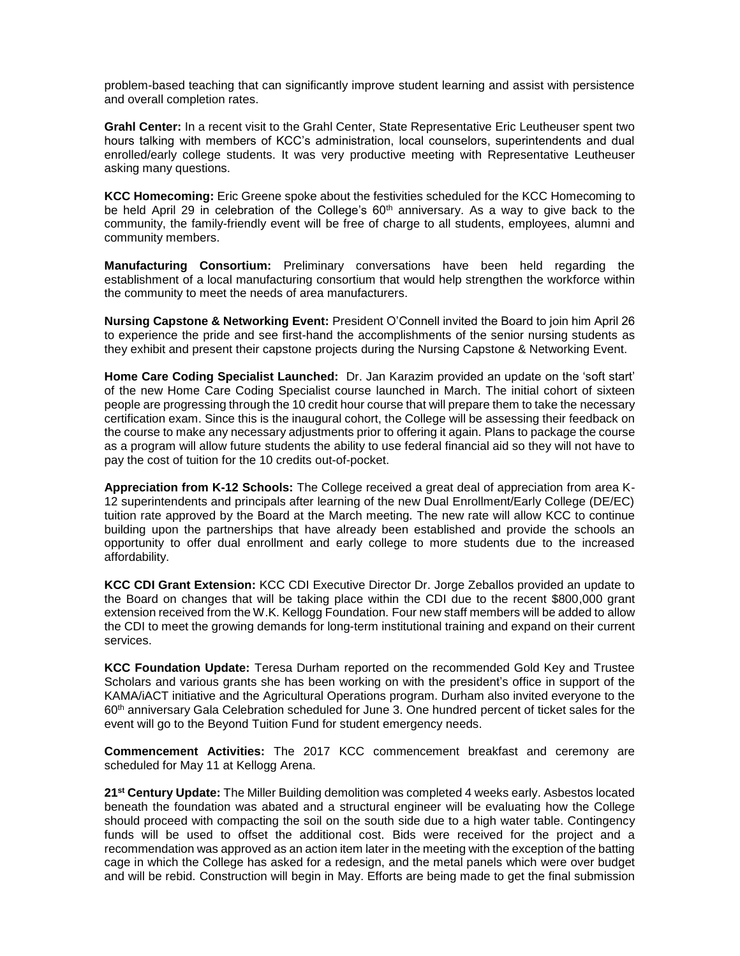problem-based teaching that can significantly improve student learning and assist with persistence and overall completion rates.

**Grahl Center:** In a recent visit to the Grahl Center, State Representative Eric Leutheuser spent two hours talking with members of KCC's administration, local counselors, superintendents and dual enrolled/early college students. It was very productive meeting with Representative Leutheuser asking many questions.

**KCC Homecoming:** Eric Greene spoke about the festivities scheduled for the KCC Homecoming to be held April 29 in celebration of the College's 60<sup>th</sup> anniversary. As a way to give back to the community, the family-friendly event will be free of charge to all students, employees, alumni and community members.

**Manufacturing Consortium:** Preliminary conversations have been held regarding the establishment of a local manufacturing consortium that would help strengthen the workforce within the community to meet the needs of area manufacturers.

**Nursing Capstone & Networking Event:** President O'Connell invited the Board to join him April 26 to experience the pride and see first-hand the accomplishments of the senior nursing students as they exhibit and present their capstone projects during the Nursing Capstone & Networking Event.

**Home Care Coding Specialist Launched:** Dr. Jan Karazim provided an update on the 'soft start' of the new Home Care Coding Specialist course launched in March. The initial cohort of sixteen people are progressing through the 10 credit hour course that will prepare them to take the necessary certification exam. Since this is the inaugural cohort, the College will be assessing their feedback on the course to make any necessary adjustments prior to offering it again. Plans to package the course as a program will allow future students the ability to use federal financial aid so they will not have to pay the cost of tuition for the 10 credits out-of-pocket.

**Appreciation from K-12 Schools:** The College received a great deal of appreciation from area K-12 superintendents and principals after learning of the new Dual Enrollment/Early College (DE/EC) tuition rate approved by the Board at the March meeting. The new rate will allow KCC to continue building upon the partnerships that have already been established and provide the schools an opportunity to offer dual enrollment and early college to more students due to the increased affordability.

**KCC CDI Grant Extension:** KCC CDI Executive Director Dr. Jorge Zeballos provided an update to the Board on changes that will be taking place within the CDI due to the recent \$800,000 grant extension received from the W.K. Kellogg Foundation. Four new staff members will be added to allow the CDI to meet the growing demands for long-term institutional training and expand on their current services.

**KCC Foundation Update:** Teresa Durham reported on the recommended Gold Key and Trustee Scholars and various grants she has been working on with the president's office in support of the KAMA/iACT initiative and the Agricultural Operations program. Durham also invited everyone to the 60th anniversary Gala Celebration scheduled for June 3. One hundred percent of ticket sales for the event will go to the Beyond Tuition Fund for student emergency needs.

**Commencement Activities:** The 2017 KCC commencement breakfast and ceremony are scheduled for May 11 at Kellogg Arena.

**21st Century Update:** The Miller Building demolition was completed 4 weeks early. Asbestos located beneath the foundation was abated and a structural engineer will be evaluating how the College should proceed with compacting the soil on the south side due to a high water table. Contingency funds will be used to offset the additional cost. Bids were received for the project and a recommendation was approved as an action item later in the meeting with the exception of the batting cage in which the College has asked for a redesign, and the metal panels which were over budget and will be rebid. Construction will begin in May. Efforts are being made to get the final submission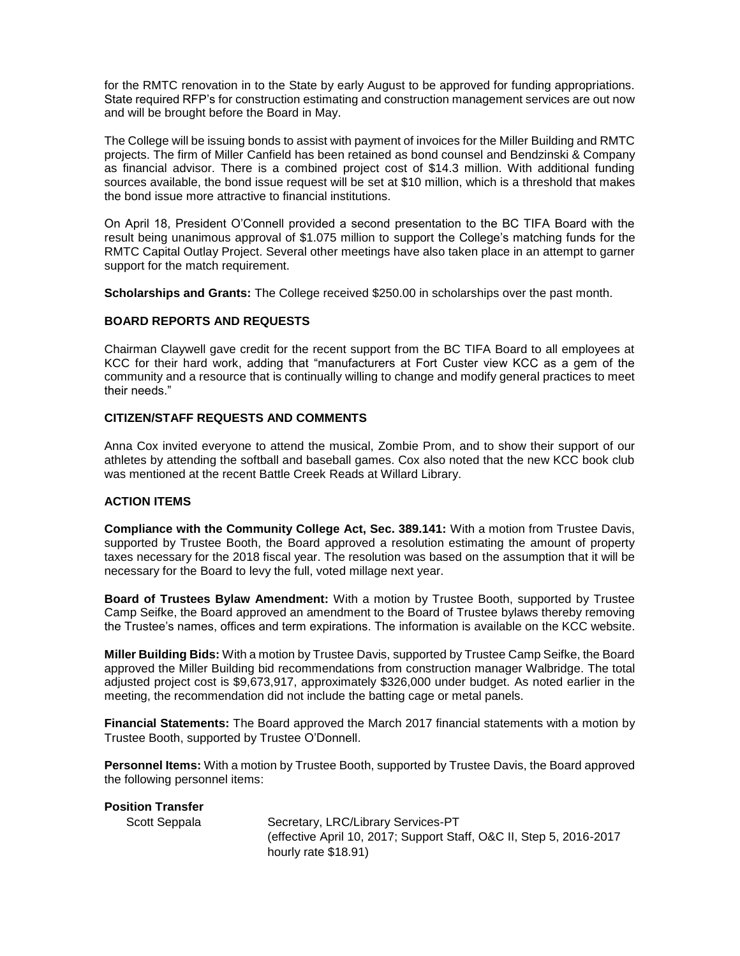for the RMTC renovation in to the State by early August to be approved for funding appropriations. State required RFP's for construction estimating and construction management services are out now and will be brought before the Board in May.

The College will be issuing bonds to assist with payment of invoices for the Miller Building and RMTC projects. The firm of Miller Canfield has been retained as bond counsel and Bendzinski & Company as financial advisor. There is a combined project cost of \$14.3 million. With additional funding sources available, the bond issue request will be set at \$10 million, which is a threshold that makes the bond issue more attractive to financial institutions.

On April 18, President O'Connell provided a second presentation to the BC TIFA Board with the result being unanimous approval of \$1.075 million to support the College's matching funds for the RMTC Capital Outlay Project. Several other meetings have also taken place in an attempt to garner support for the match requirement.

**Scholarships and Grants:** The College received \$250.00 in scholarships over the past month.

## **BOARD REPORTS AND REQUESTS**

Chairman Claywell gave credit for the recent support from the BC TIFA Board to all employees at KCC for their hard work, adding that "manufacturers at Fort Custer view KCC as a gem of the community and a resource that is continually willing to change and modify general practices to meet their needs."

# **CITIZEN/STAFF REQUESTS AND COMMENTS**

Anna Cox invited everyone to attend the musical, Zombie Prom, and to show their support of our athletes by attending the softball and baseball games. Cox also noted that the new KCC book club was mentioned at the recent Battle Creek Reads at Willard Library.

## **ACTION ITEMS**

**Compliance with the Community College Act, Sec. 389.141:** With a motion from Trustee Davis, supported by Trustee Booth, the Board approved a resolution estimating the amount of property taxes necessary for the 2018 fiscal year. The resolution was based on the assumption that it will be necessary for the Board to levy the full, voted millage next year.

**Board of Trustees Bylaw Amendment:** With a motion by Trustee Booth, supported by Trustee Camp Seifke, the Board approved an amendment to the Board of Trustee bylaws thereby removing the Trustee's names, offices and term expirations. The information is available on the KCC website.

**Miller Building Bids:** With a motion by Trustee Davis, supported by Trustee Camp Seifke, the Board approved the Miller Building bid recommendations from construction manager Walbridge. The total adjusted project cost is \$9,673,917, approximately \$326,000 under budget. As noted earlier in the meeting, the recommendation did not include the batting cage or metal panels.

**Financial Statements:** The Board approved the March 2017 financial statements with a motion by Trustee Booth, supported by Trustee O'Donnell.

**Personnel Items:** With a motion by Trustee Booth, supported by Trustee Davis, the Board approved the following personnel items:

Scott Seppala Secretary, LRC/Library Services-PT (effective April 10, 2017; Support Staff, O&C II, Step 5, 2016-2017 hourly rate \$18.91)